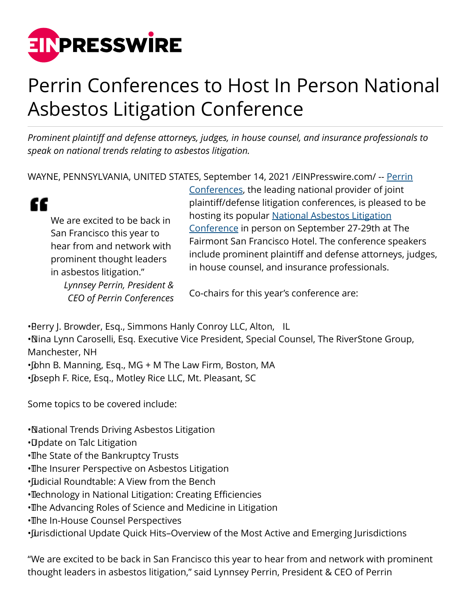

## Perrin Conferences to Host In Person National Asbestos Litigation Conference

*Prominent plaintiff and defense attorneys, judges, in house counsel, and insurance professionals to speak on national trends relating to asbestos litigation.*

WAYNE, PENNSYLVANIA, UNITED STATES, September 14, 2021 [/EINPresswire.com](http://www.einpresswire.com)/ -- [Perrin](https://www.perrinconferences.com/)

" We are excited to be back in San Francisco this year to hear from and network with prominent thought leaders in asbestos litigation." *Lynnsey Perrin, President & CEO of Perrin Conferences* [Conferences,](https://www.perrinconferences.com/) the leading national provider of joint plaintiff/defense litigation conferences, is pleased to be hosting its popular [National Asbestos Litigation](https://www.perrinconferences.com/conferences/national-asbestos-litigation-conference-2/) [Conference](https://www.perrinconferences.com/conferences/national-asbestos-litigation-conference-2/) in person on September 27-29th at The Fairmont San Francisco Hotel. The conference speakers include prominent plaintiff and defense attorneys, judges, in house counsel, and insurance professionals.

Co-chairs for this year's conference are:

•Berry J. Browder, Esq., Simmons Hanly Conroy LLC, Alton, IL

• Nina Lynn Caroselli, Esq. Executive Vice President, Special Counsel, The RiverStone Group, Manchester, NH

•John B. Manning, Esq., MG + M The Law Firm, Boston, MA • Dseph F. Rice, Esq., Motley Rice LLC, Mt. Pleasant, SC

Some topics to be covered include:

• National Trends Driving Asbestos Litigation

- • Update on Talc Litigation
- The State of the Bankruptcy Trusts
- The Insurer Perspective on Asbestos Litigation
- Eudicial Roundtable: A View from the Bench

• Technology in National Litigation: Creating Efficiencies

• The Advancing Roles of Science and Medicine in Litigation

• The In-House Counsel Perspectives

• Jurisdictional Update Quick Hits–Overview of the Most Active and Emerging Jurisdictions

"We are excited to be back in San Francisco this year to hear from and network with prominent thought leaders in asbestos litigation," said Lynnsey Perrin, President & CEO of Perrin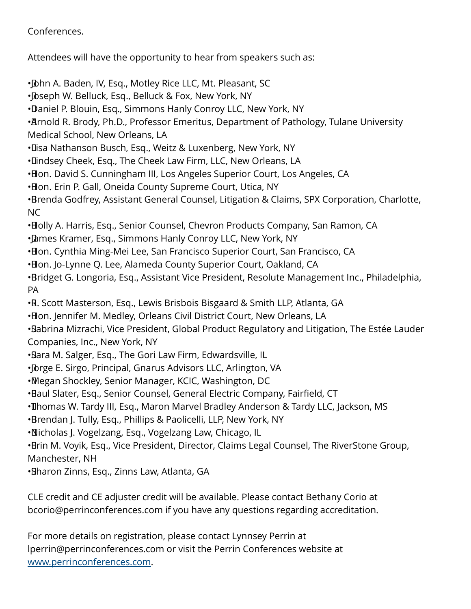## Conferences.

Attendees will have the opportunity to hear from speakers such as:

•John A. Baden, IV, Esq., Motley Rice LLC, Mt. Pleasant, SC • Joseph W. Belluck, Esq., Belluck & Fox, New York, NY • Daniel P. Blouin, Esq., Simmons Hanly Conroy LLC, New York, NY • Arnold R. Brody, Ph.D., Professor Emeritus, Department of Pathology, Tulane University Medical School, New Orleans, LA • Lisa Nathanson Busch, Esq., Weitz & Luxenberg, New York, NY • Lindsey Cheek, Esq., The Cheek Law Firm, LLC, New Orleans, LA • Hon. David S. Cunningham III, Los Angeles Superior Court, Los Angeles, CA • Hon. Erin P. Gall, Oneida County Supreme Court, Utica, NY • Brenda Godfrey, Assistant General Counsel, Litigation & Claims, SPX Corporation, Charlotte, NC • Holly A. Harris, Esg., Senior Counsel, Chevron Products Company, San Ramon, CA • James Kramer, Esq., Simmons Hanly Conroy LLC, New York, NY • Hon. Cynthia Ming-Mei Lee, San Francisco Superior Court, San Francisco, CA • Hon. Jo-Lynne Q. Lee, Alameda County Superior Court, Oakland, CA • Bridget G. Longoria, Esq., Assistant Vice President, Resolute Management Inc., Philadelphia, PA • R. Scott Masterson, Esq., Lewis Brisbois Bisgaard & Smith LLP, Atlanta, GA • Hon. Jennifer M. Medley, Orleans Civil District Court, New Orleans, LA • Sabrina Mizrachi, Vice President, Global Product Regulatory and Litigation, The Estée Lauder Companies, Inc., New York, NY • Sara M. Salger, Esq., The Gori Law Firm, Edwardsville, IL • Drge E. Sirgo, Principal, Gnarus Advisors LLC, Arlington, VA • Megan Shockley, Senior Manager, KCIC, Washington, DC • Baul Slater, Esg., Senior Counsel, General Electric Company, Fairfield, CT • Thomas W. Tardy III, Esg., Maron Marvel Bradley Anderson & Tardy LLC, Jackson, MS • Brendan J. Tully, Esq., Phillips & Paolicelli, LLP, New York, NY • Nicholas J. Vogelzang, Esq., Vogelzang Law, Chicago, IL • Brin M. Voyik, Esq., Vice President, Director, Claims Legal Counsel, The RiverStone Group, Manchester, NH • Sharon Zinns, Esq., Zinns Law, Atlanta, GA

CLE credit and CE adjuster credit will be available. Please contact Bethany Corio at bcorio@perrinconferences.com if you have any questions regarding accreditation.

For more details on registration, please contact Lynnsey Perrin at lperrin@perrinconferences.com or visit the Perrin Conferences website at [www.perrinconferences.com](http://www.perrinconferences.com).